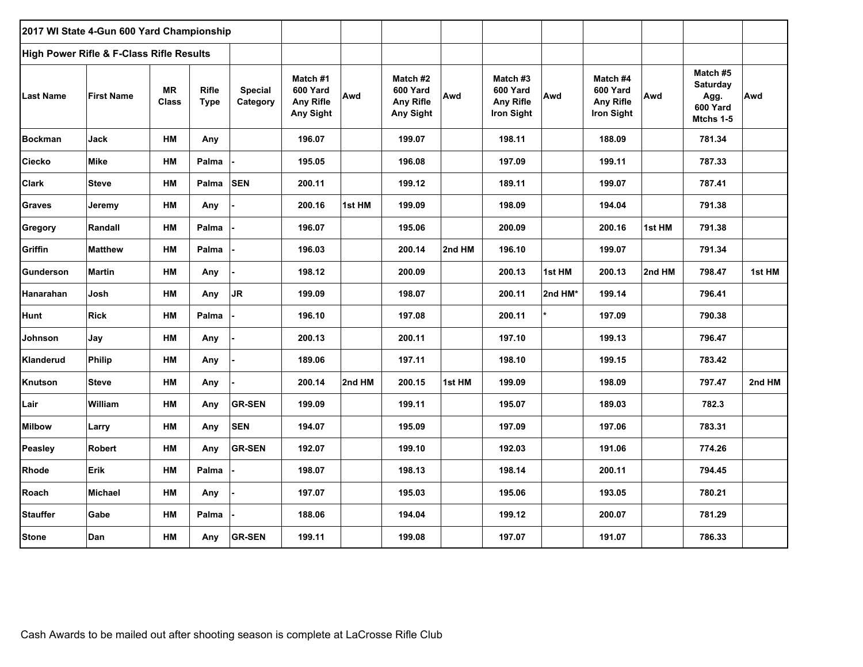|                 | 2017 WI State 4-Gun 600 Yard Championship |                           |                      |                            |                                                       |        |                                                |        |                                                               |         |                                                               |        |                                                              |        |
|-----------------|-------------------------------------------|---------------------------|----------------------|----------------------------|-------------------------------------------------------|--------|------------------------------------------------|--------|---------------------------------------------------------------|---------|---------------------------------------------------------------|--------|--------------------------------------------------------------|--------|
|                 | High Power Rifle & F-Class Rifle Results  |                           |                      |                            |                                                       |        |                                                |        |                                                               |         |                                                               |        |                                                              |        |
| Last Name       | <b>First Name</b>                         | <b>MR</b><br><b>Class</b> | Rifle<br><b>Type</b> | <b>Special</b><br>Category | Match #1<br>600 Yard<br><b>Any Rifle</b><br>Any Sight | Awd    | Match #2<br>600 Yard<br>Any Rifle<br>Any Sight | Awd    | Match #3<br>600 Yard<br><b>Any Rifle</b><br><b>Iron Sight</b> | Awd     | Match #4<br>600 Yard<br><b>Any Rifle</b><br><b>Iron Sight</b> | Awd    | Match #5<br><b>Saturday</b><br>Agg.<br>600 Yard<br>Mtchs 1-5 | Awd    |
| <b>Bockman</b>  | Jack                                      | HM                        | Any                  |                            | 196.07                                                |        | 199.07                                         |        | 198.11                                                        |         | 188.09                                                        |        | 781.34                                                       |        |
| Ciecko          | Mike                                      | НM                        | Palma                |                            | 195.05                                                |        | 196.08                                         |        | 197.09                                                        |         | 199.11                                                        |        | 787.33                                                       |        |
| Clark           | <b>Steve</b>                              | HM                        | Palma                | <b>SEN</b>                 | 200.11                                                |        | 199.12                                         |        | 189.11                                                        |         | 199.07                                                        |        | 787.41                                                       |        |
| <b>Graves</b>   | Jeremy                                    | НM                        | Any                  |                            | 200.16                                                | 1st HM | 199.09                                         |        | 198.09                                                        |         | 194.04                                                        |        | 791.38                                                       |        |
| Gregory         | Randall                                   | НM                        | Palma                |                            | 196.07                                                |        | 195.06                                         |        | 200.09                                                        |         | 200.16                                                        | 1st HM | 791.38                                                       |        |
| Griffin         | <b>Matthew</b>                            | HM                        | Palma                |                            | 196.03                                                |        | 200.14                                         | 2nd HM | 196.10                                                        |         | 199.07                                                        |        | 791.34                                                       |        |
| Gunderson       | <b>Martin</b>                             | HM                        | Any                  |                            | 198.12                                                |        | 200.09                                         |        | 200.13                                                        | 1st HM  | 200.13                                                        | 2nd HM | 798.47                                                       | 1st HM |
| Hanarahan       | Josh                                      | HM                        | Any                  | <b>JR</b>                  | 199.09                                                |        | 198.07                                         |        | 200.11                                                        | 2nd HM* | 199.14                                                        |        | 796.41                                                       |        |
| Hunt            | <b>Rick</b>                               | HM                        | Palma                |                            | 196.10                                                |        | 197.08                                         |        | 200.11                                                        |         | 197.09                                                        |        | 790.38                                                       |        |
| Johnson         | Jay                                       | НM                        | Any                  |                            | 200.13                                                |        | 200.11                                         |        | 197.10                                                        |         | 199.13                                                        |        | 796.47                                                       |        |
| Klanderud       | <b>Philip</b>                             | НM                        | Any                  |                            | 189.06                                                |        | 197.11                                         |        | 198.10                                                        |         | 199.15                                                        |        | 783.42                                                       |        |
| Knutson         | <b>Steve</b>                              | НM                        | Any                  |                            | 200.14                                                | 2nd HM | 200.15                                         | 1st HM | 199.09                                                        |         | 198.09                                                        |        | 797.47                                                       | 2nd HM |
| Lair            | William                                   | HM                        | Any                  | <b>GR-SEN</b>              | 199.09                                                |        | 199.11                                         |        | 195.07                                                        |         | 189.03                                                        |        | 782.3                                                        |        |
| <b>Milbow</b>   | Larry                                     | ${\sf HM}$                | Any                  | <b>SEN</b>                 | 194.07                                                |        | 195.09                                         |        | 197.09                                                        |         | 197.06                                                        |        | 783.31                                                       |        |
| Peasley         | <b>Robert</b>                             | НM                        | Any                  | <b>GR-SEN</b>              | 192.07                                                |        | 199.10                                         |        | 192.03                                                        |         | 191.06                                                        |        | 774.26                                                       |        |
| <b>Rhode</b>    | <b>Erik</b>                               | HM                        | Palma                |                            | 198.07                                                |        | 198.13                                         |        | 198.14                                                        |         | 200.11                                                        |        | 794.45                                                       |        |
| Roach           | <b>Michael</b>                            | НM                        | Any                  |                            | 197.07                                                |        | 195.03                                         |        | 195.06                                                        |         | 193.05                                                        |        | 780.21                                                       |        |
| <b>Stauffer</b> | Gabe                                      | НM                        | Palma                |                            | 188.06                                                |        | 194.04                                         |        | 199.12                                                        |         | 200.07                                                        |        | 781.29                                                       |        |
| <b>Stone</b>    | Dan                                       | HM                        | Any                  | <b>GR-SEN</b>              | 199.11                                                |        | 199.08                                         |        | 197.07                                                        |         | 191.07                                                        |        | 786.33                                                       |        |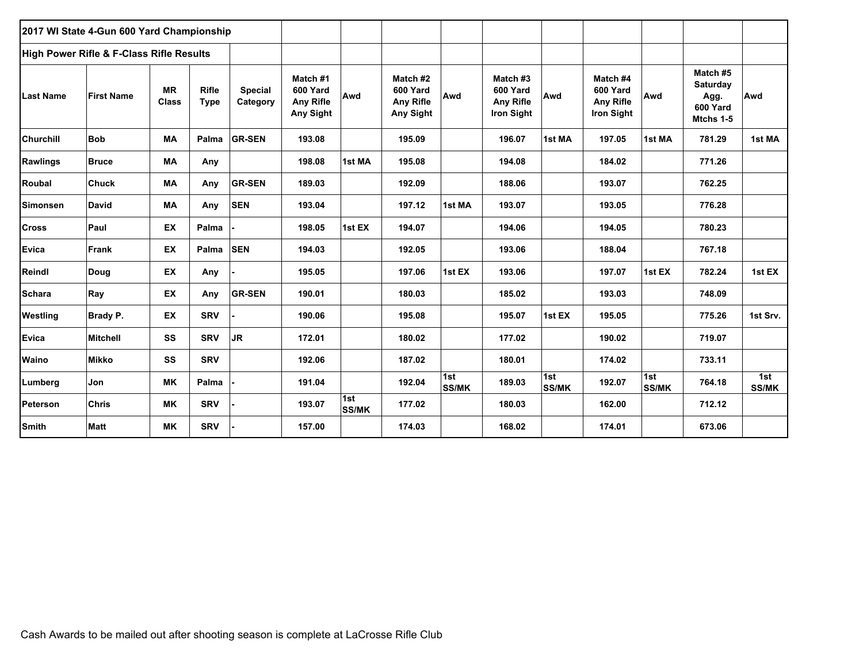|                  | 2017 WI State 4-Gun 600 Yard Championship           |                           |                             |                            |                                                       |                     |                                                |                     |                                                               |                     |                                                        |                     |                                                              |                     |
|------------------|-----------------------------------------------------|---------------------------|-----------------------------|----------------------------|-------------------------------------------------------|---------------------|------------------------------------------------|---------------------|---------------------------------------------------------------|---------------------|--------------------------------------------------------|---------------------|--------------------------------------------------------------|---------------------|
|                  | <b>High Power Rifle &amp; F-Class Rifle Results</b> |                           |                             |                            |                                                       |                     |                                                |                     |                                                               |                     |                                                        |                     |                                                              |                     |
| <b>Last Name</b> | <b>First Name</b>                                   | <b>MR</b><br><b>Class</b> | <b>Rifle</b><br><b>Type</b> | <b>Special</b><br>Category | Match #1<br>600 Yard<br><b>Any Rifle</b><br>Any Sight | Awd                 | Match #2<br>600 Yard<br>Any Rifle<br>Any Sight | Awd                 | Match #3<br>600 Yard<br><b>Any Rifle</b><br><b>Iron Sight</b> | Awd                 | Match #4<br>600 Yard<br>Any Rifle<br><b>Iron Sight</b> | Awd                 | Match #5<br><b>Saturday</b><br>Agg.<br>600 Yard<br>Mtchs 1-5 | Awd                 |
| <b>Churchill</b> | <b>Bob</b>                                          | MA                        | Palma                       | <b>GR-SEN</b>              | 193.08                                                |                     | 195.09                                         |                     | 196.07                                                        | 1st MA              | 197.05                                                 | 1st MA              | 781.29                                                       | 1st MA              |
| <b>Rawlings</b>  | <b>Bruce</b>                                        | МA                        | Any                         |                            | 198.08                                                | 1st MA              | 195.08                                         |                     | 194.08                                                        |                     | 184.02                                                 |                     | 771.26                                                       |                     |
| Roubal           | <b>Chuck</b>                                        | MA                        | Any                         | <b>GR-SEN</b>              | 189.03                                                |                     | 192.09                                         |                     | 188.06                                                        |                     | 193.07                                                 |                     | 762.25                                                       |                     |
| <b>Simonsen</b>  | David                                               | MA                        | Any                         | <b>SEN</b>                 | 193.04                                                |                     | 197.12                                         | 1st MA              | 193.07                                                        |                     | 193.05                                                 |                     | 776.28                                                       |                     |
| <b>Cross</b>     | Paul                                                | EX                        | Palma                       |                            | 198.05                                                | 1st EX              | 194.07                                         |                     | 194.06                                                        |                     | 194.05                                                 |                     | 780.23                                                       |                     |
| <b>Evica</b>     | <b>Frank</b>                                        | EX                        | Palma                       | <b>SEN</b>                 | 194.03                                                |                     | 192.05                                         |                     | 193.06                                                        |                     | 188.04                                                 |                     | 767.18                                                       |                     |
| Reindl           | Doug                                                | <b>EX</b>                 | Any                         |                            | 195.05                                                |                     | 197.06                                         | 1st EX              | 193.06                                                        |                     | 197.07                                                 | 1st EX              | 782.24                                                       | 1st EX              |
| <b>Schara</b>    | Ray                                                 | EX                        | Any                         | <b>GR-SEN</b>              | 190.01                                                |                     | 180.03                                         |                     | 185.02                                                        |                     | 193.03                                                 |                     | 748.09                                                       |                     |
| Westling         | Brady P.                                            | EX                        | <b>SRV</b>                  |                            | 190.06                                                |                     | 195.08                                         |                     | 195.07                                                        | 1st EX              | 195.05                                                 |                     | 775.26                                                       | 1st Srv.            |
| <b>Evica</b>     | <b>Mitchell</b>                                     | SS                        | <b>SRV</b>                  | JR.                        | 172.01                                                |                     | 180.02                                         |                     | 177.02                                                        |                     | 190.02                                                 |                     | 719.07                                                       |                     |
| Waino            | <b>Mikko</b>                                        | SS                        | <b>SRV</b>                  |                            | 192.06                                                |                     | 187.02                                         |                     | 180.01                                                        |                     | 174.02                                                 |                     | 733.11                                                       |                     |
| Lumberg          | Jon                                                 | <b>MK</b>                 | Palma                       |                            | 191.04                                                |                     | 192.04                                         | 1st<br><b>SS/MK</b> | 189.03                                                        | 1st<br><b>SS/MK</b> | 192.07                                                 | 1st<br><b>SS/MK</b> | 764.18                                                       | 1st<br><b>SS/MK</b> |
| Peterson         | <b>Chris</b>                                        | МK                        | <b>SRV</b>                  |                            | 193.07                                                | 1st<br><b>SS/MK</b> | 177.02                                         |                     | 180.03                                                        |                     | 162.00                                                 |                     | 712.12                                                       |                     |
| <b>Smith</b>     | <b>Matt</b>                                         | <b>MK</b>                 | <b>SRV</b>                  |                            | 157.00                                                |                     | 174.03                                         |                     | 168.02                                                        |                     | 174.01                                                 |                     | 673.06                                                       |                     |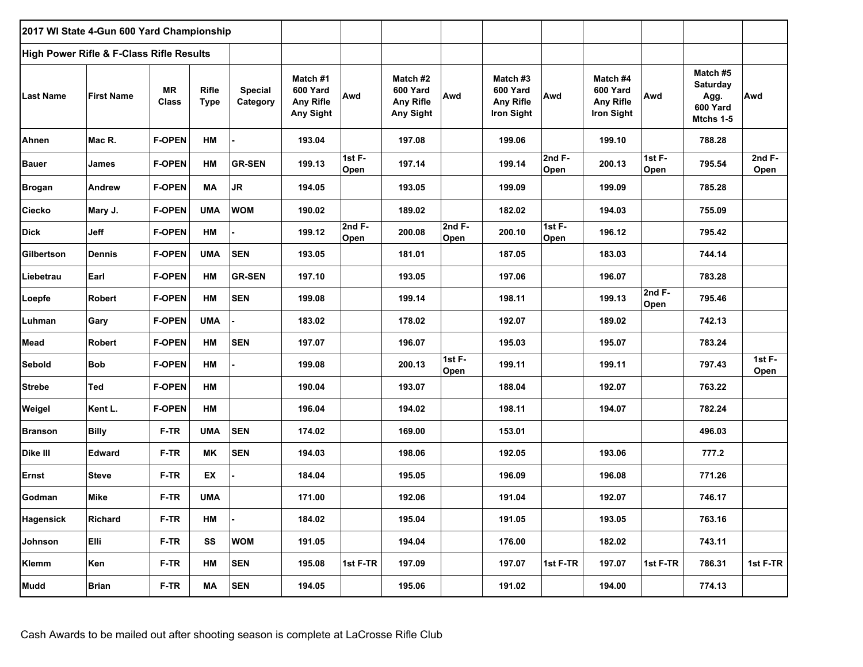| 2017 WI State 4-Gun 600 Yard Championship |                           |                             |                                          |                                                              |                |                                                |                  |                                                               |                  |                                                        |                   |                                                       |                  |
|-------------------------------------------|---------------------------|-----------------------------|------------------------------------------|--------------------------------------------------------------|----------------|------------------------------------------------|------------------|---------------------------------------------------------------|------------------|--------------------------------------------------------|-------------------|-------------------------------------------------------|------------------|
|                                           |                           |                             |                                          |                                                              |                |                                                |                  |                                                               |                  |                                                        |                   |                                                       |                  |
| <b>First Name</b>                         | <b>MR</b><br><b>Class</b> | <b>Rifle</b><br><b>Type</b> | <b>Special</b><br>Category               | Match #1<br>600 Yard<br><b>Any Rifle</b><br><b>Any Sight</b> | Awd            | Match #2<br>600 Yard<br>Any Rifle<br>Any Sight | Awd              | Match #3<br>600 Yard<br><b>Any Rifle</b><br><b>Iron Sight</b> | Awd              | Match #4<br>600 Yard<br>Any Rifle<br><b>Iron Sight</b> | Awd               | Match #5<br>Saturday<br>Agg.<br>600 Yard<br>Mtchs 1-5 | Awd              |
| Mac R.                                    | <b>F-OPEN</b>             | HM                          |                                          | 193.04                                                       |                | 197.08                                         |                  | 199.06                                                        |                  | 199.10                                                 |                   | 788.28                                                |                  |
| James                                     | <b>F-OPEN</b>             | HM                          | <b>GR-SEN</b>                            | 199.13                                                       | 1st F-<br>Open | 197.14                                         |                  | 199.14                                                        | 2nd $F-$<br>Open | 200.13                                                 | 1st $F -$<br>Open | 795.54                                                | 2nd $F-$<br>Open |
| Andrew                                    | <b>F-OPEN</b>             | <b>MA</b>                   | <b>JR</b>                                | 194.05                                                       |                | 193.05                                         |                  | 199.09                                                        |                  | 199.09                                                 |                   | 785.28                                                |                  |
| Mary J.                                   | <b>F-OPEN</b>             | <b>UMA</b>                  | <b>WOM</b>                               | 190.02                                                       |                | 189.02                                         |                  | 182.02                                                        |                  | 194.03                                                 |                   | 755.09                                                |                  |
| Jeff                                      | <b>F-OPEN</b>             | HM                          |                                          | 199.12                                                       | 2nd F-<br>Open | 200.08                                         | 2 $ndF-$<br>Open | 200.10                                                        | 1st F-<br>Open   | 196.12                                                 |                   | 795.42                                                |                  |
| Dennis                                    | <b>F-OPEN</b>             | <b>UMA</b>                  | <b>SEN</b>                               | 193.05                                                       |                | 181.01                                         |                  | 187.05                                                        |                  | 183.03                                                 |                   | 744.14                                                |                  |
| Earl                                      | <b>F-OPEN</b>             | HM                          | <b>GR-SEN</b>                            | 197.10                                                       |                | 193.05                                         |                  | 197.06                                                        |                  | 196.07                                                 |                   | 783.28                                                |                  |
| Robert                                    | <b>F-OPEN</b>             | HM                          | <b>SEN</b>                               | 199.08                                                       |                | 199.14                                         |                  | 198.11                                                        |                  | 199.13                                                 | 2 $ndF-$<br>Open  | 795.46                                                |                  |
| Gary                                      | <b>F-OPEN</b>             | <b>UMA</b>                  |                                          | 183.02                                                       |                | 178.02                                         |                  | 192.07                                                        |                  | 189.02                                                 |                   | 742.13                                                |                  |
| <b>Robert</b>                             | <b>F-OPEN</b>             | HM                          | <b>SEN</b>                               | 197.07                                                       |                | 196.07                                         |                  | 195.03                                                        |                  | 195.07                                                 |                   | 783.24                                                |                  |
| <b>Bob</b>                                | <b>F-OPEN</b>             | HM                          |                                          | 199.08                                                       |                | 200.13                                         | 1st F-<br>Open   | 199.11                                                        |                  | 199.11                                                 |                   | 797.43                                                | $1stF -$<br>Open |
| Ted                                       | <b>F-OPEN</b>             | HМ                          |                                          | 190.04                                                       |                | 193.07                                         |                  | 188.04                                                        |                  | 192.07                                                 |                   | 763.22                                                |                  |
| Kent L.                                   | <b>F-OPEN</b>             | HM                          |                                          | 196.04                                                       |                | 194.02                                         |                  | 198.11                                                        |                  | 194.07                                                 |                   | 782.24                                                |                  |
| <b>Billy</b>                              | F-TR                      | <b>UMA</b>                  | <b>SEN</b>                               | 174.02                                                       |                | 169.00                                         |                  | 153.01                                                        |                  |                                                        |                   | 496.03                                                |                  |
| <b>Edward</b>                             | F-TR                      | <b>MK</b>                   | <b>SEN</b>                               | 194.03                                                       |                | 198.06                                         |                  | 192.05                                                        |                  | 193.06                                                 |                   | 777.2                                                 |                  |
| <b>Steve</b>                              | F-TR                      | EX                          |                                          | 184.04                                                       |                | 195.05                                         |                  | 196.09                                                        |                  | 196.08                                                 |                   | 771.26                                                |                  |
| Mike                                      | F-TR                      | <b>UMA</b>                  |                                          | 171.00                                                       |                | 192.06                                         |                  | 191.04                                                        |                  | 192.07                                                 |                   | 746.17                                                |                  |
| Richard                                   | F-TR                      | HM                          |                                          | 184.02                                                       |                | 195.04                                         |                  | 191.05                                                        |                  | 193.05                                                 |                   | 763.16                                                |                  |
| Elli                                      | F-TR                      | SS                          | <b>WOM</b>                               | 191.05                                                       |                | 194.04                                         |                  | 176.00                                                        |                  | 182.02                                                 |                   | 743.11                                                |                  |
| Ken                                       | F-TR                      | ΗМ                          | <b>SEN</b>                               | 195.08                                                       | 1st F-TR       | 197.09                                         |                  | 197.07                                                        | 1st F-TR         | 197.07                                                 | 1st F-TR          | 786.31                                                | 1st F-TR         |
| <b>Brian</b>                              | $F-TR$                    | МA                          | <b>SEN</b>                               | 194.05                                                       |                | 195.06                                         |                  | 191.02                                                        |                  | 194.00                                                 |                   | 774.13                                                |                  |
|                                           |                           |                             | High Power Rifle & F-Class Rifle Results |                                                              |                |                                                |                  |                                                               |                  |                                                        |                   |                                                       |                  |

Cash Awards to be mailed out after shooting season is complete at LaCrosse Rifle Club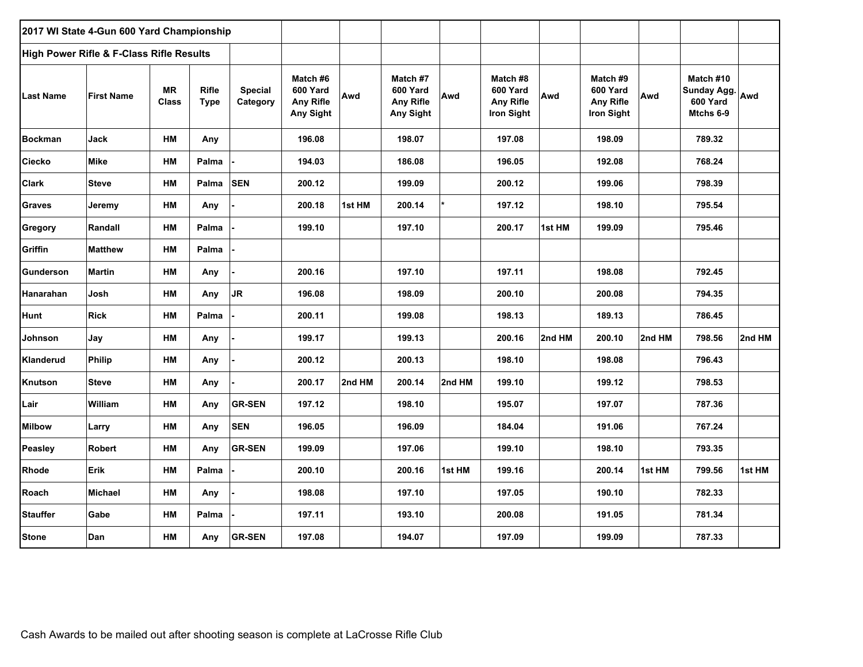| 2017 WI State 4-Gun 600 Yard Championship |                                          |                           |                             |                            |                                                       |        |                                                       |        |                                                        |        |                                                               |        |                                                       |        |
|-------------------------------------------|------------------------------------------|---------------------------|-----------------------------|----------------------------|-------------------------------------------------------|--------|-------------------------------------------------------|--------|--------------------------------------------------------|--------|---------------------------------------------------------------|--------|-------------------------------------------------------|--------|
|                                           | High Power Rifle & F-Class Rifle Results |                           |                             |                            |                                                       |        |                                                       |        |                                                        |        |                                                               |        |                                                       |        |
| <b>Last Name</b>                          | <b>First Name</b>                        | <b>MR</b><br><b>Class</b> | <b>Rifle</b><br><b>Type</b> | <b>Special</b><br>Category | Match #6<br>600 Yard<br><b>Any Rifle</b><br>Any Sight | Awd    | Match #7<br>600 Yard<br><b>Any Rifle</b><br>Any Sight | Awd    | Match #8<br>600 Yard<br><b>Any Rifle</b><br>Iron Sight | Awd    | Match #9<br>600 Yard<br><b>Any Rifle</b><br><b>Iron Sight</b> | Awd    | Match #10<br>Sunday Agg. Awd<br>600 Yard<br>Mtchs 6-9 |        |
| <b>Bockman</b>                            | Jack                                     | HМ                        | Any                         |                            | 196.08                                                |        | 198.07                                                |        | 197.08                                                 |        | 198.09                                                        |        | 789.32                                                |        |
| <b>Ciecko</b>                             | <b>Mike</b>                              | HM                        | Palma                       |                            | 194.03                                                |        | 186.08                                                |        | 196.05                                                 |        | 192.08                                                        |        | 768.24                                                |        |
| <b>Clark</b>                              | <b>Steve</b>                             | HM                        | Palma                       | <b>SEN</b>                 | 200.12                                                |        | 199.09                                                |        | 200.12                                                 |        | 199.06                                                        |        | 798.39                                                |        |
| <b>Graves</b>                             | Jeremy                                   | HМ                        | Any                         |                            | 200.18                                                | 1st HM | 200.14                                                |        | 197.12                                                 |        | 198.10                                                        |        | 795.54                                                |        |
| Gregory                                   | Randall                                  | НM                        | Palma                       |                            | 199.10                                                |        | 197.10                                                |        | 200.17                                                 | 1st HM | 199.09                                                        |        | 795.46                                                |        |
| Griffin                                   | <b>Matthew</b>                           | HM                        | Palma                       |                            |                                                       |        |                                                       |        |                                                        |        |                                                               |        |                                                       |        |
| Gunderson                                 | <b>Martin</b>                            | НM                        | Any                         |                            | 200.16                                                |        | 197.10                                                |        | 197.11                                                 |        | 198.08                                                        |        | 792.45                                                |        |
| Hanarahan                                 | Josh                                     | НM                        | Any                         | <b>JR</b>                  | 196.08                                                |        | 198.09                                                |        | 200.10                                                 |        | 200.08                                                        |        | 794.35                                                |        |
| <b>Hunt</b>                               | <b>Rick</b>                              | НM                        | Palma                       |                            | 200.11                                                |        | 199.08                                                |        | 198.13                                                 |        | 189.13                                                        |        | 786.45                                                |        |
| Johnson                                   | Jay                                      | HM                        | Any                         |                            | 199.17                                                |        | 199.13                                                |        | 200.16                                                 | 2nd HM | 200.10                                                        | 2nd HM | 798.56                                                | 2nd HM |
| Klanderud                                 | <b>Philip</b>                            | HМ                        | Any                         |                            | 200.12                                                |        | 200.13                                                |        | 198.10                                                 |        | 198.08                                                        |        | 796.43                                                |        |
| Knutson                                   | <b>Steve</b>                             | HM                        | Any                         |                            | 200.17                                                | 2nd HM | 200.14                                                | 2nd HM | 199.10                                                 |        | 199.12                                                        |        | 798.53                                                |        |
| Lair                                      | William                                  | НM                        | Any                         | <b>GR-SEN</b>              | 197.12                                                |        | 198.10                                                |        | 195.07                                                 |        | 197.07                                                        |        | 787.36                                                |        |
| <b>Milbow</b>                             | Larry                                    | НM                        | Any                         | <b>SEN</b>                 | 196.05                                                |        | 196.09                                                |        | 184.04                                                 |        | 191.06                                                        |        | 767.24                                                |        |
| Peasley                                   | Robert                                   | НM                        | Any                         | <b>GR-SEN</b>              | 199.09                                                |        | 197.06                                                |        | 199.10                                                 |        | 198.10                                                        |        | 793.35                                                |        |
| <b>Rhode</b>                              | <b>Erik</b>                              | <b>HM</b>                 | Palma                       |                            | 200.10                                                |        | 200.16                                                | 1st HM | 199.16                                                 |        | 200.14                                                        | 1st HM | 799.56                                                | 1st HM |
| Roach                                     | <b>Michael</b>                           | НM                        | Any                         |                            | 198.08                                                |        | 197.10                                                |        | 197.05                                                 |        | 190.10                                                        |        | 782.33                                                |        |
| <b>Stauffer</b>                           | Gabe                                     | НM                        | Palma                       |                            | 197.11                                                |        | 193.10                                                |        | 200.08                                                 |        | 191.05                                                        |        | 781.34                                                |        |
| <b>Stone</b>                              | Dan                                      | НM                        | Any                         | <b>GR-SEN</b>              | 197.08                                                |        | 194.07                                                |        | 197.09                                                 |        | 199.09                                                        |        | 787.33                                                |        |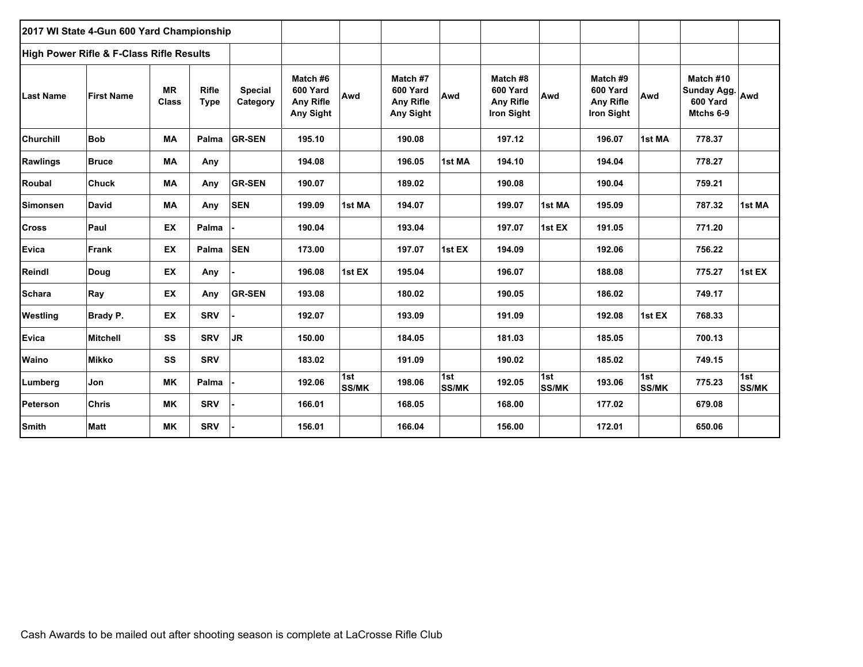|                  | 2017 WI State 4-Gun 600 Yard Championship           |                           |                             |                            |                                                       |                     |                                                       |                     |                                                        |                     |                                                        |                     |                                                       |                     |
|------------------|-----------------------------------------------------|---------------------------|-----------------------------|----------------------------|-------------------------------------------------------|---------------------|-------------------------------------------------------|---------------------|--------------------------------------------------------|---------------------|--------------------------------------------------------|---------------------|-------------------------------------------------------|---------------------|
|                  | <b>High Power Rifle &amp; F-Class Rifle Results</b> |                           |                             |                            |                                                       |                     |                                                       |                     |                                                        |                     |                                                        |                     |                                                       |                     |
| <b>Last Name</b> | <b>First Name</b>                                   | <b>MR</b><br><b>Class</b> | <b>Rifle</b><br><b>Type</b> | <b>Special</b><br>Category | Match #6<br>600 Yard<br><b>Any Rifle</b><br>Any Sight | Awd                 | Match #7<br>600 Yard<br><b>Any Rifle</b><br>Any Sight | Awd                 | Match #8<br>600 Yard<br>Any Rifle<br><b>Iron Sight</b> | Awd                 | Match #9<br>600 Yard<br><b>Any Rifle</b><br>Iron Sight | Awd                 | Match #10<br>Sunday Agg. Awd<br>600 Yard<br>Mtchs 6-9 |                     |
| <b>Churchill</b> | <b>Bob</b>                                          | <b>MA</b>                 | Palma                       | <b>GR-SEN</b>              | 195.10                                                |                     | 190.08                                                |                     | 197.12                                                 |                     | 196.07                                                 | 1st MA              | 778.37                                                |                     |
| <b>Rawlings</b>  | <b>Bruce</b>                                        | МA                        | Any                         |                            | 194.08                                                |                     | 196.05                                                | 1st MA              | 194.10                                                 |                     | 194.04                                                 |                     | 778.27                                                |                     |
| Roubal           | <b>Chuck</b>                                        | МA                        | Any                         | <b>GR-SEN</b>              | 190.07                                                |                     | 189.02                                                |                     | 190.08                                                 |                     | 190.04                                                 |                     | 759.21                                                |                     |
| Simonsen         | <b>David</b>                                        | МA                        | Any                         | <b>SEN</b>                 | 199.09                                                | 1st MA              | 194.07                                                |                     | 199.07                                                 | 1st MA              | 195.09                                                 |                     | 787.32                                                | 1st MA              |
| <b>Cross</b>     | Paul                                                | EX                        | Palma                       |                            | 190.04                                                |                     | 193.04                                                |                     | 197.07                                                 | 1st EX              | 191.05                                                 |                     | 771.20                                                |                     |
| <b>Evica</b>     | Frank                                               | <b>EX</b>                 | Palma                       | <b>SEN</b>                 | 173.00                                                |                     | 197.07                                                | 1st EX              | 194.09                                                 |                     | 192.06                                                 |                     | 756.22                                                |                     |
| Reindl           | Doug                                                | EX                        | Any                         |                            | 196.08                                                | 1st EX              | 195.04                                                |                     | 196.07                                                 |                     | 188.08                                                 |                     | 775.27                                                | 1st EX              |
| <b>Schara</b>    | Ray                                                 | EX                        | Any                         | <b>GR-SEN</b>              | 193.08                                                |                     | 180.02                                                |                     | 190.05                                                 |                     | 186.02                                                 |                     | 749.17                                                |                     |
| Westling         | <b>Brady P.</b>                                     | <b>EX</b>                 | <b>SRV</b>                  |                            | 192.07                                                |                     | 193.09                                                |                     | 191.09                                                 |                     | 192.08                                                 | 1st EX              | 768.33                                                |                     |
| <b>Evica</b>     | <b>Mitchell</b>                                     | SS                        | <b>SRV</b>                  | <b>JR</b>                  | 150.00                                                |                     | 184.05                                                |                     | 181.03                                                 |                     | 185.05                                                 |                     | 700.13                                                |                     |
| Waino            | <b>Mikko</b>                                        | SS                        | <b>SRV</b>                  |                            | 183.02                                                |                     | 191.09                                                |                     | 190.02                                                 |                     | 185.02                                                 |                     | 749.15                                                |                     |
| Lumberg          | Jon                                                 | <b>MK</b>                 | Palma                       |                            | 192.06                                                | 1st<br><b>SS/MK</b> | 198.06                                                | 1st<br><b>SS/MK</b> | 192.05                                                 | 1st<br><b>SS/MK</b> | 193.06                                                 | 1st<br><b>SS/MK</b> | 775.23                                                | 1st<br><b>SS/MK</b> |
| Peterson         | <b>Chris</b>                                        | ΜK                        | <b>SRV</b>                  |                            | 166.01                                                |                     | 168.05                                                |                     | 168.00                                                 |                     | 177.02                                                 |                     | 679.08                                                |                     |
| <b>Smith</b>     | <b>Matt</b>                                         | ΜK                        | <b>SRV</b>                  |                            | 156.01                                                |                     | 166.04                                                |                     | 156.00                                                 |                     | 172.01                                                 |                     | 650.06                                                |                     |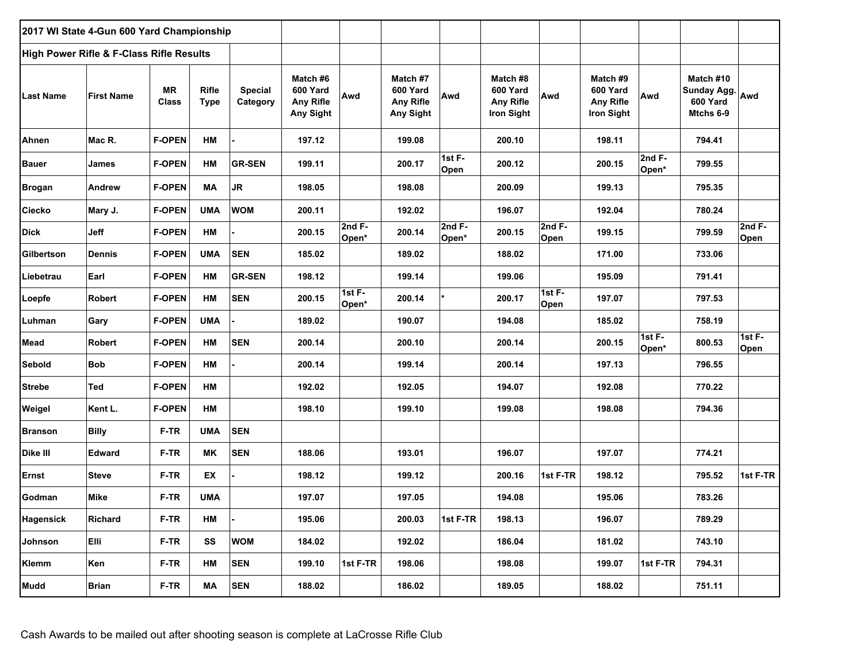|                  | 2017 WI State 4-Gun 600 Yard Championship |                           |                             |                            |                                                       |                   |                                                              |                   |                                                               |                   |                                                        |                    |                                                   |                 |
|------------------|-------------------------------------------|---------------------------|-----------------------------|----------------------------|-------------------------------------------------------|-------------------|--------------------------------------------------------------|-------------------|---------------------------------------------------------------|-------------------|--------------------------------------------------------|--------------------|---------------------------------------------------|-----------------|
|                  | High Power Rifle & F-Class Rifle Results  |                           |                             |                            |                                                       |                   |                                                              |                   |                                                               |                   |                                                        |                    |                                                   |                 |
| <b>Last Name</b> | <b>First Name</b>                         | <b>MR</b><br><b>Class</b> | <b>Rifle</b><br><b>Type</b> | <b>Special</b><br>Category | Match #6<br>600 Yard<br><b>Any Rifle</b><br>Any Sight | Awd               | Match #7<br>600 Yard<br><b>Any Rifle</b><br><b>Any Sight</b> | Awd               | Match #8<br>600 Yard<br><b>Any Rifle</b><br><b>Iron Sight</b> | Awd               | Match #9<br>600 Yard<br><b>Any Rifle</b><br>Iron Sight | Awd                | Match #10<br>Sunday Agg.<br>600 Yard<br>Mtchs 6-9 | Awd             |
| Ahnen            | Mac R.                                    | <b>F-OPEN</b>             | HM                          |                            | 197.12                                                |                   | 199.08                                                       |                   | 200.10                                                        |                   | 198.11                                                 |                    | 794.41                                            |                 |
| <b>Bauer</b>     | James                                     | <b>F-OPEN</b>             | HM                          | <b>GR-SEN</b>              | 199.11                                                |                   | 200.17                                                       | 1st F-<br>Open    | 200.12                                                        |                   | 200.15                                                 | 2nd $F-$<br>Open*  | 799.55                                            |                 |
| <b>Brogan</b>    | Andrew                                    | <b>F-OPEN</b>             | МA                          | <b>JR</b>                  | 198.05                                                |                   | 198.08                                                       |                   | 200.09                                                        |                   | 199.13                                                 |                    | 795.35                                            |                 |
| <b>Ciecko</b>    | Mary J.                                   | <b>F-OPEN</b>             | <b>UMA</b>                  | <b>WOM</b>                 | 200.11                                                |                   | 192.02                                                       |                   | 196.07                                                        |                   | 192.04                                                 |                    | 780.24                                            |                 |
| <b>Dick</b>      | <b>Jeff</b>                               | <b>F-OPEN</b>             | HM                          |                            | 200.15                                                | $2ndF-$<br>Open*  | 200.14                                                       | 2nd $F-$<br>Open* | 200.15                                                        | $2ndF-$<br>Open   | 199.15                                                 |                    | 799.59                                            | $2ndF-$<br>Open |
| Gilbertson       | <b>Dennis</b>                             | <b>F-OPEN</b>             | <b>UMA</b>                  | <b>SEN</b>                 | 185.02                                                |                   | 189.02                                                       |                   | 188.02                                                        |                   | 171.00                                                 |                    | 733.06                                            |                 |
| Liebetrau        | Earl                                      | <b>F-OPEN</b>             | HM                          | <b>GR-SEN</b>              | 198.12                                                |                   | 199.14                                                       |                   | 199.06                                                        |                   | 195.09                                                 |                    | 791.41                                            |                 |
| Loepfe           | <b>Robert</b>                             | <b>F-OPEN</b>             | HM                          | <b>SEN</b>                 | 200.15                                                | 1st $F-$<br>Open* | 200.14                                                       | $\star$           | 200.17                                                        | 1st $F -$<br>Open | 197.07                                                 |                    | 797.53                                            |                 |
| Luhman           | Gary                                      | <b>F-OPEN</b>             | <b>UMA</b>                  |                            | 189.02                                                |                   | 190.07                                                       |                   | 194.08                                                        |                   | 185.02                                                 |                    | 758.19                                            |                 |
| <b>Mead</b>      | <b>Robert</b>                             | <b>F-OPEN</b>             | HМ                          | <b>SEN</b>                 | 200.14                                                |                   | 200.10                                                       |                   | 200.14                                                        |                   | 200.15                                                 | 1st $F -$<br>Open* | 800.53                                            | 1st F-<br>Open  |
| <b>Sebold</b>    | <b>Bob</b>                                | <b>F-OPEN</b>             | HM                          |                            | 200.14                                                |                   | 199.14                                                       |                   | 200.14                                                        |                   | 197.13                                                 |                    | 796.55                                            |                 |
| <b>Strebe</b>    | Ted                                       | <b>F-OPEN</b>             | HM                          |                            | 192.02                                                |                   | 192.05                                                       |                   | 194.07                                                        |                   | 192.08                                                 |                    | 770.22                                            |                 |
| Weigel           | Kent L.                                   | <b>F-OPEN</b>             | HM                          |                            | 198.10                                                |                   | 199.10                                                       |                   | 199.08                                                        |                   | 198.08                                                 |                    | 794.36                                            |                 |
| <b>Branson</b>   | <b>Billy</b>                              | F-TR                      | <b>UMA</b>                  | <b>SEN</b>                 |                                                       |                   |                                                              |                   |                                                               |                   |                                                        |                    |                                                   |                 |
| Dike III         | Edward                                    | F-TR                      | <b>MK</b>                   | <b>SEN</b>                 | 188.06                                                |                   | 193.01                                                       |                   | 196.07                                                        |                   | 197.07                                                 |                    | 774.21                                            |                 |
| Ernst            | <b>Steve</b>                              | F-TR                      | EX                          |                            | 198.12                                                |                   | 199.12                                                       |                   | 200.16                                                        | 1st F-TR          | 198.12                                                 |                    | 795.52                                            | 1st F-TR        |
| Godman           | Mike                                      | F-TR                      | <b>UMA</b>                  |                            | 197.07                                                |                   | 197.05                                                       |                   | 194.08                                                        |                   | 195.06                                                 |                    | 783.26                                            |                 |
| <b>Hagensick</b> | Richard                                   | $F-TR$                    | HM                          |                            | 195.06                                                |                   | 200.03                                                       | 1st F-TR          | 198.13                                                        |                   | 196.07                                                 |                    | 789.29                                            |                 |
| Johnson          | Elli                                      | F-TR                      | SS                          | <b>WOM</b>                 | 184.02                                                |                   | 192.02                                                       |                   | 186.04                                                        |                   | 181.02                                                 |                    | 743.10                                            |                 |
| <b>Klemm</b>     | Ken                                       | F-TR                      | НM                          | <b>SEN</b>                 | 199.10                                                | 1st F-TR          | 198.06                                                       |                   | 198.08                                                        |                   | 199.07                                                 | 1st F-TR           | 794.31                                            |                 |
| <b>Mudd</b>      | <b>Brian</b>                              | F-TR                      | MA                          | <b>SEN</b>                 | 188.02                                                |                   | 186.02                                                       |                   | 189.05                                                        |                   | 188.02                                                 |                    | 751.11                                            |                 |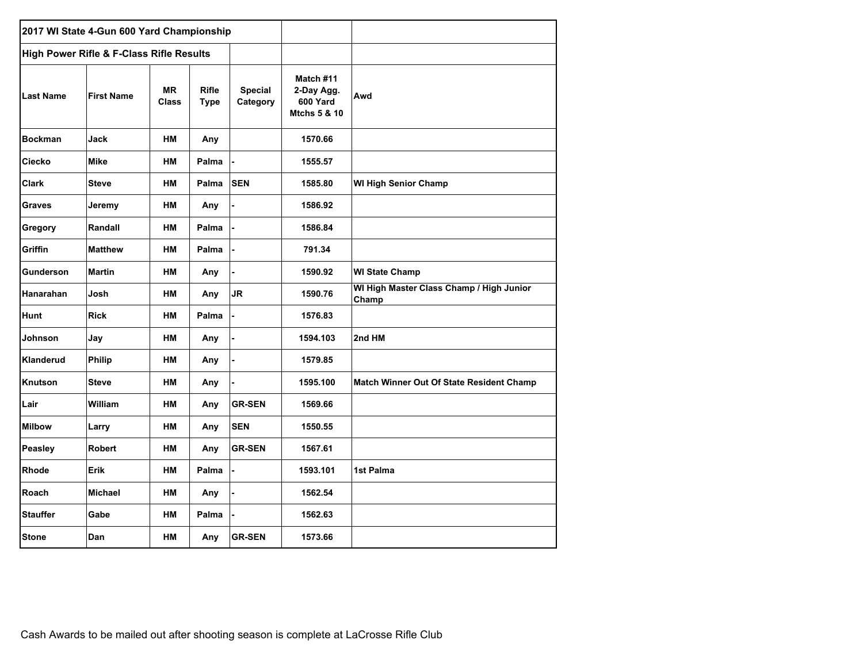|                  | 2017 WI State 4-Gun 600 Yard Championship           |                           |                             |                            |                                                     |                                                   |
|------------------|-----------------------------------------------------|---------------------------|-----------------------------|----------------------------|-----------------------------------------------------|---------------------------------------------------|
|                  | <b>High Power Rifle &amp; F-Class Rifle Results</b> |                           |                             |                            |                                                     |                                                   |
| Last Name        | <b>First Name</b>                                   | <b>MR</b><br><b>Class</b> | <b>Rifle</b><br><b>Type</b> | <b>Special</b><br>Category | Match #11<br>2-Day Agg.<br>600 Yard<br>Mtchs 5 & 10 | Awd                                               |
| <b>Bockman</b>   | Jack                                                | <b>HM</b>                 | Any                         |                            | 1570.66                                             |                                                   |
| Ciecko           | <b>Mike</b>                                         | <b>HM</b>                 | Palma                       |                            | 1555.57                                             |                                                   |
| <b>Clark</b>     | <b>Steve</b>                                        | <b>HM</b>                 | Palma                       | <b>SEN</b>                 | 1585.80                                             | <b>WI High Senior Champ</b>                       |
| <b>Graves</b>    | Jeremy                                              | <b>HM</b>                 | Any                         |                            | 1586.92                                             |                                                   |
| Gregory          | Randall                                             | <b>HM</b>                 | Palma                       |                            | 1586.84                                             |                                                   |
| Griffin          | <b>Matthew</b>                                      | <b>HM</b>                 | Palma                       |                            | 791.34                                              |                                                   |
| <b>Gunderson</b> | <b>Martin</b>                                       | <b>HM</b>                 | Any                         |                            | 1590.92                                             | <b>WI State Champ</b>                             |
| Hanarahan        | Josh                                                | <b>HM</b>                 | Any                         | JR.                        | 1590.76                                             | WI High Master Class Champ / High Junior<br>Champ |
| Hunt             | <b>Rick</b>                                         | <b>HM</b>                 | Palma                       |                            | 1576.83                                             |                                                   |
| Johnson          | Jay                                                 | HМ                        | Any                         |                            | 1594.103                                            | 2nd HM                                            |
| Klanderud        | Philip                                              | HМ                        | Any                         |                            | 1579.85                                             |                                                   |
| Knutson          | <b>Steve</b>                                        | HM                        | Any                         |                            | 1595.100                                            | Match Winner Out Of State Resident Champ          |
| Lair             | William                                             | HM                        | Any                         | <b>GR-SEN</b>              | 1569.66                                             |                                                   |
| <b>Milbow</b>    | Larry                                               | <b>HM</b>                 | Any                         | <b>SEN</b>                 | 1550.55                                             |                                                   |
| Peasley          | <b>Robert</b>                                       | <b>HM</b>                 | Any                         | <b>GR-SEN</b>              | 1567.61                                             |                                                   |
| Rhode            | Erik                                                | <b>HM</b>                 | Palma                       |                            | 1593.101                                            | 1st Palma                                         |
| Roach            | <b>Michael</b>                                      | <b>HM</b>                 | Any                         |                            | 1562.54                                             |                                                   |
| <b>Stauffer</b>  | Gabe                                                | <b>HM</b>                 | Palma                       |                            | 1562.63                                             |                                                   |
| <b>Stone</b>     | Dan                                                 | <b>HM</b>                 | Any                         | <b>GR-SEN</b>              | 1573.66                                             |                                                   |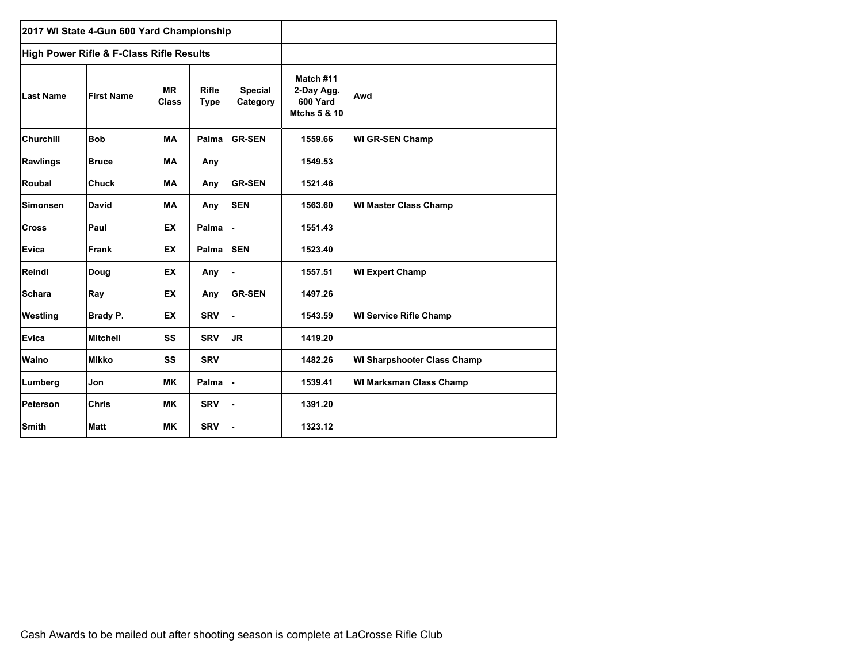|                  | 2017 WI State 4-Gun 600 Yard Championship |                    |                             |                            |                                                                |                                    |
|------------------|-------------------------------------------|--------------------|-----------------------------|----------------------------|----------------------------------------------------------------|------------------------------------|
|                  | High Power Rifle & F-Class Rifle Results  |                    |                             |                            |                                                                |                                    |
| <b>Last Name</b> | <b>First Name</b>                         | <b>MR</b><br>Class | <b>Rifle</b><br><b>Type</b> | <b>Special</b><br>Category | Match #11<br>2-Day Agg.<br>600 Yard<br><b>Mtchs 5 &amp; 10</b> | Awd                                |
| <b>Churchill</b> | <b>Bob</b>                                | <b>MA</b>          | Palma                       | <b>GR-SEN</b>              | 1559.66                                                        | <b>WI GR-SEN Champ</b>             |
| <b>Rawlings</b>  | <b>Bruce</b>                              | <b>MA</b>          | Any                         |                            | 1549.53                                                        |                                    |
| Roubal           | <b>Chuck</b>                              | <b>MA</b>          | Any                         | <b>GR-SEN</b>              | 1521.46                                                        |                                    |
| <b>Simonsen</b>  | <b>David</b>                              | <b>MA</b>          | Any                         | <b>SEN</b>                 | 1563.60                                                        | <b>WI Master Class Champ</b>       |
| <b>Cross</b>     | Paul                                      | <b>EX</b>          | Palma                       |                            | 1551.43                                                        |                                    |
| Evica            | Frank                                     | <b>EX</b>          | Palma                       | <b>SEN</b>                 | 1523.40                                                        |                                    |
| Reindl           | Doug                                      | <b>EX</b>          | Any                         |                            | 1557.51                                                        | <b>WI Expert Champ</b>             |
| <b>Schara</b>    | Ray                                       | <b>EX</b>          | Any                         | <b>GR-SEN</b>              | 1497.26                                                        |                                    |
| Westling         | Brady P.                                  | <b>EX</b>          | <b>SRV</b>                  |                            | 1543.59                                                        | <b>WI Service Rifle Champ</b>      |
| Evica            | <b>Mitchell</b>                           | SS                 | <b>SRV</b>                  | <b>JR</b>                  | 1419.20                                                        |                                    |
| Waino            | <b>Mikko</b>                              | SS                 | <b>SRV</b>                  |                            | 1482.26                                                        | <b>WI Sharpshooter Class Champ</b> |
| Lumberg          | Jon                                       | <b>MK</b>          | Palma                       |                            | 1539.41                                                        | <b>WI Marksman Class Champ</b>     |
| Peterson         | <b>Chris</b>                              | <b>MK</b>          | <b>SRV</b>                  |                            | 1391.20                                                        |                                    |
| Smith            | <b>Matt</b>                               | <b>MK</b>          | <b>SRV</b>                  |                            | 1323.12                                                        |                                    |